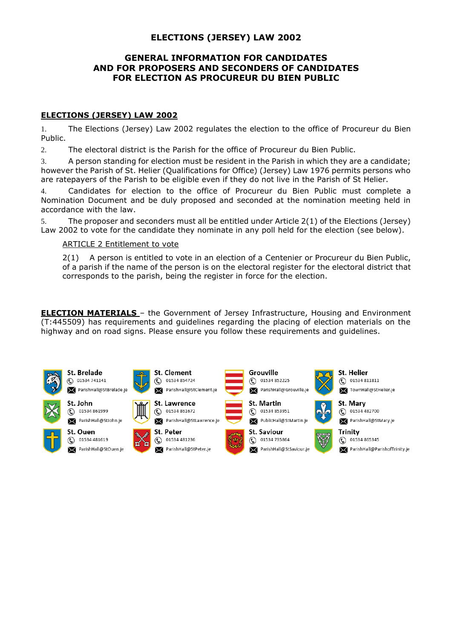# **ELECTIONS (JERSEY) LAW 2002**

# **GENERAL INFORMATION FOR CANDIDATES AND FOR PROPOSERS AND SECONDERS OF CANDIDATES FOR ELECTION AS PROCUREUR DU BIEN PUBLIC**

### **ELECTIONS (JERSEY) LAW 2002**

1. The Elections (Jersey) Law 2002 regulates the election to the office of Procureur du Bien Public.

2. The electoral district is the Parish for the office of Procureur du Bien Public.

3. A person standing for election must be resident in the Parish in which they are a candidate; however the Parish of St. Helier (Qualifications for Office) (Jersey) Law 1976 permits persons who are ratepayers of the Parish to be eligible even if they do not live in the Parish of St Helier.

4. Candidates for election to the office of Procureur du Bien Public must complete a Nomination Document and be duly proposed and seconded at the nomination meeting held in accordance with the law.

5. The proposer and seconders must all be entitled under Article 2(1) of the Elections (Jersey) Law 2002 to vote for the candidate they nominate in any poll held for the election (see below).

#### ARTICLE 2 Entitlement to vote

2(1) A person is entitled to vote in an election of a Centenier or Procureur du Bien Public, of a parish if the name of the person is on the electoral register for the electoral district that corresponds to the parish, being the register in force for the election.

**ELECTION MATERIALS** – the Government of Jersey Infrastructure, Housing and Environment (T:445509) has requirements and guidelines regarding the placing of election materials on the highway and on road signs. Please ensure you follow these requirements and guidelines.